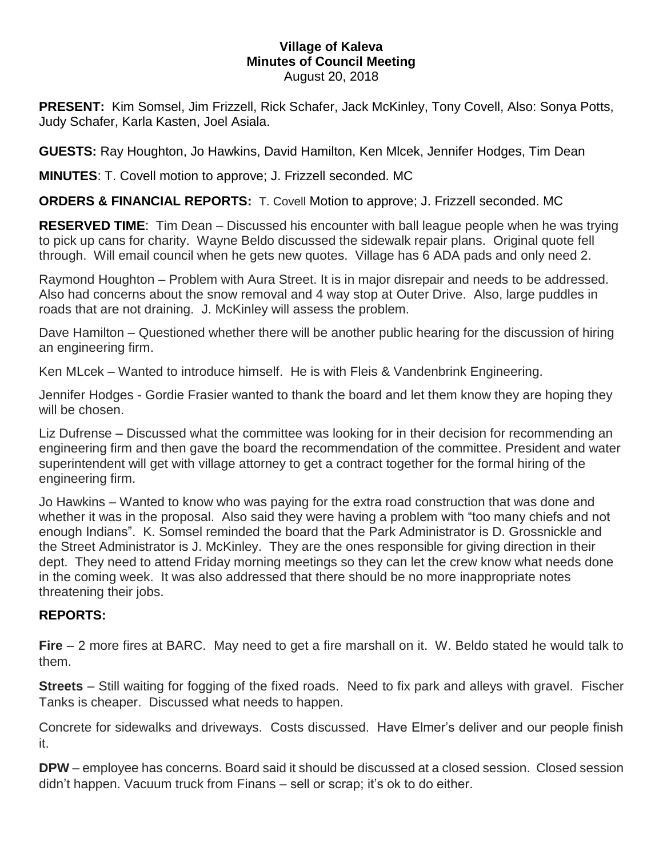## **Village of Kaleva Minutes of Council Meeting** August 20, 2018

**PRESENT:** Kim Somsel, Jim Frizzell, Rick Schafer, Jack McKinley, Tony Covell, Also: Sonya Potts, Judy Schafer, Karla Kasten, Joel Asiala.

**GUESTS:** Ray Houghton, Jo Hawkins, David Hamilton, Ken Mlcek, Jennifer Hodges, Tim Dean

**MINUTES**: T. Covell motion to approve; J. Frizzell seconded. MC

**ORDERS & FINANCIAL REPORTS:** T. Covell Motion to approve; J. Frizzell seconded. MC

**RESERVED TIME**: Tim Dean – Discussed his encounter with ball league people when he was trying to pick up cans for charity. Wayne Beldo discussed the sidewalk repair plans. Original quote fell through. Will email council when he gets new quotes. Village has 6 ADA pads and only need 2.

Raymond Houghton – Problem with Aura Street. It is in major disrepair and needs to be addressed. Also had concerns about the snow removal and 4 way stop at Outer Drive. Also, large puddles in roads that are not draining. J. McKinley will assess the problem.

Dave Hamilton – Questioned whether there will be another public hearing for the discussion of hiring an engineering firm.

Ken MLcek – Wanted to introduce himself. He is with Fleis & Vandenbrink Engineering.

Jennifer Hodges - Gordie Frasier wanted to thank the board and let them know they are hoping they will be chosen.

Liz Dufrense – Discussed what the committee was looking for in their decision for recommending an engineering firm and then gave the board the recommendation of the committee. President and water superintendent will get with village attorney to get a contract together for the formal hiring of the engineering firm.

Jo Hawkins – Wanted to know who was paying for the extra road construction that was done and whether it was in the proposal. Also said they were having a problem with "too many chiefs and not enough Indians". K. Somsel reminded the board that the Park Administrator is D. Grossnickle and the Street Administrator is J. McKinley. They are the ones responsible for giving direction in their dept. They need to attend Friday morning meetings so they can let the crew know what needs done in the coming week. It was also addressed that there should be no more inappropriate notes threatening their jobs.

## **REPORTS:**

**Fire** – 2 more fires at BARC. May need to get a fire marshall on it. W. Beldo stated he would talk to them.

**Streets** – Still waiting for fogging of the fixed roads. Need to fix park and alleys with gravel. Fischer Tanks is cheaper. Discussed what needs to happen.

Concrete for sidewalks and driveways. Costs discussed. Have Elmer's deliver and our people finish it.

**DPW** – employee has concerns. Board said it should be discussed at a closed session. Closed session didn't happen. Vacuum truck from Finans – sell or scrap; it's ok to do either.